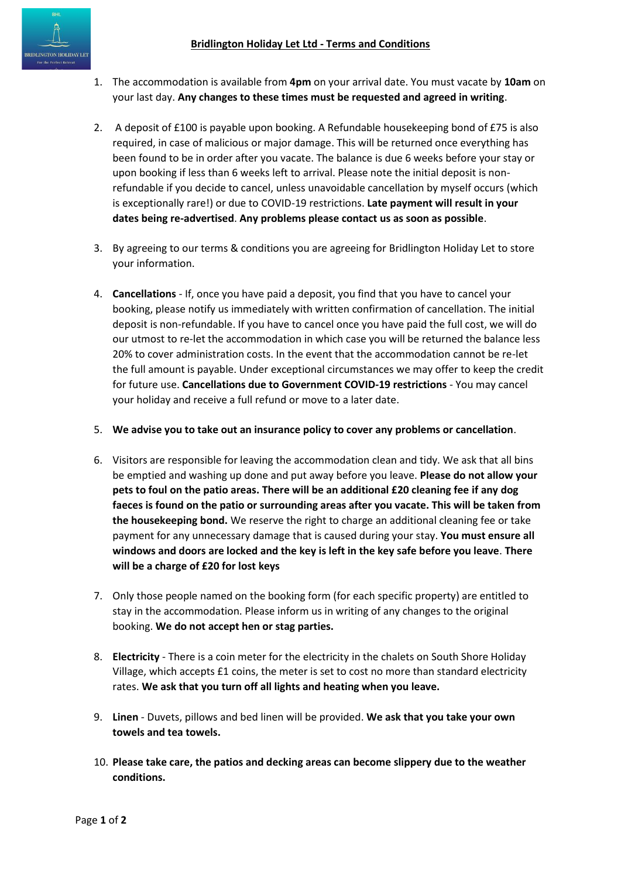- 1. The accommodation is available from **4pm** on your arrival date. You must vacate by **10am** on your last day. **Any changes to these times must be requested and agreed in writing**.
- 2. A deposit of £100 is payable upon booking. A Refundable housekeeping bond of £75 is also required, in case of malicious or major damage. This will be returned once everything has been found to be in order after you vacate. The balance is due 6 weeks before your stay or upon booking if less than 6 weeks left to arrival. Please note the initial deposit is nonrefundable if you decide to cancel, unless unavoidable cancellation by myself occurs (which is exceptionally rare!) or due to COVID-19 restrictions. **Late payment will result in your dates being re-advertised**. **Any problems please contact us as soon as possible**.
- 3. By agreeing to our terms & conditions you are agreeing for Bridlington Holiday Let to store your information.
- 4. **Cancellations** If, once you have paid a deposit, you find that you have to cancel your booking, please notify us immediately with written confirmation of cancellation. The initial deposit is non-refundable. If you have to cancel once you have paid the full cost, we will do our utmost to re-let the accommodation in which case you will be returned the balance less 20% to cover administration costs. In the event that the accommodation cannot be re-let the full amount is payable. Under exceptional circumstances we may offer to keep the credit for future use. **Cancellations due to Government COVID-19 restrictions** - You may cancel your holiday and receive a full refund or move to a later date.
- 5. **We advise you to take out an insurance policy to cover any problems or cancellation**.
- 6. Visitors are responsible for leaving the accommodation clean and tidy. We ask that all bins be emptied and washing up done and put away before you leave. **Please do not allow your pets to foul on the patio areas. There will be an additional £20 cleaning fee if any dog faeces is found on the patio or surrounding areas after you vacate. This will be taken from the housekeeping bond.** We reserve the right to charge an additional cleaning fee or take payment for any unnecessary damage that is caused during your stay. **You must ensure all windows and doors are locked and the key is left in the key safe before you leave**. **There will be a charge of £20 for lost keys**
- 7. Only those people named on the booking form (for each specific property) are entitled to stay in the accommodation. Please inform us in writing of any changes to the original booking. **We do not accept hen or stag parties.**
- 8. **Electricity** There is a coin meter for the electricity in the chalets on South Shore Holiday Village, which accepts £1 coins, the meter is set to cost no more than standard electricity rates. **We ask that you turn off all lights and heating when you leave.**
- 9. **Linen** Duvets, pillows and bed linen will be provided. **We ask that you take your own towels and tea towels.**
- 10. **Please take care, the patios and decking areas can become slippery due to the weather conditions.**